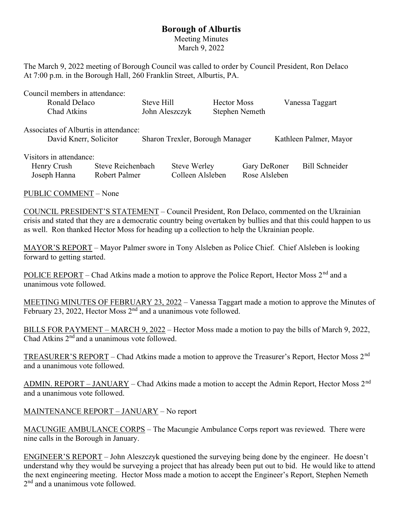## Borough of Alburtis

Meeting Minutes March 9, 2022

The March 9, 2022 meeting of Borough Council was called to order by Council President, Ron DeIaco At 7:00 p.m. in the Borough Hall, 260 Franklin Street, Alburtis, PA.

Council members in attendance:

| Ronald Delaco                         | Steve Hill     | <b>Hector Moss</b> | Vanessa Taggart |
|---------------------------------------|----------------|--------------------|-----------------|
| Chad Atkins                           | John Aleszczyk | Stephen Nemeth     |                 |
| Associates of Alburtis in attendance: |                |                    |                 |

| David Knerr, Solicitor  |                   | Sharon Trexler, Borough Manager |                     | Kathleen Palmer, Mayor |  |
|-------------------------|-------------------|---------------------------------|---------------------|------------------------|--|
| Visitors in attendance: |                   |                                 |                     |                        |  |
| Henry Crush             | Steve Reichenbach | Steve Werley                    | <b>Gary DeRoner</b> | Bill Schneider         |  |
| Joseph Hanna            | Robert Palmer     | Colleen Alsleben                | Rose Alsleben       |                        |  |

PUBLIC COMMENT – None

COUNCIL PRESIDENT'S STATEMENT – Council President, Ron DeIaco, commented on the Ukrainian crisis and stated that they are a democratic country being overtaken by bullies and that this could happen to us as well. Ron thanked Hector Moss for heading up a collection to help the Ukrainian people.

MAYOR'S REPORT – Mayor Palmer swore in Tony Alsleben as Police Chief. Chief Alsleben is looking forward to getting started.

POLICE REPORT – Chad Atkins made a motion to approve the Police Report, Hector Moss 2<sup>nd</sup> and a unanimous vote followed.

MEETING MINUTES OF FEBRUARY 23, 2022 – Vanessa Taggart made a motion to approve the Minutes of February 23, 2022, Hector Moss  $2<sup>nd</sup>$  and a unanimous vote followed.

BILLS FOR PAYMENT – MARCH 9, 2022 – Hector Moss made a motion to pay the bills of March 9, 2022, Chad Atkins 2<sup>nd</sup> and a unanimous vote followed.

TREASURER'S REPORT – Chad Atkins made a motion to approve the Treasurer's Report, Hector Moss 2nd and a unanimous vote followed.

ADMIN. REPORT – JANUARY – Chad Atkins made a motion to accept the Admin Report, Hector Moss  $2<sup>nd</sup>$ and a unanimous vote followed.

MAINTENANCE REPORT – JANUARY – No report

MACUNGIE AMBULANCE CORPS – The Macungie Ambulance Corps report was reviewed. There were nine calls in the Borough in January.

ENGINEER'S REPORT – John Aleszczyk questioned the surveying being done by the engineer. He doesn't understand why they would be surveying a project that has already been put out to bid. He would like to attend the next engineering meeting. Hector Moss made a motion to accept the Engineer's Report, Stephen Nemeth 2<sup>nd</sup> and a unanimous vote followed.